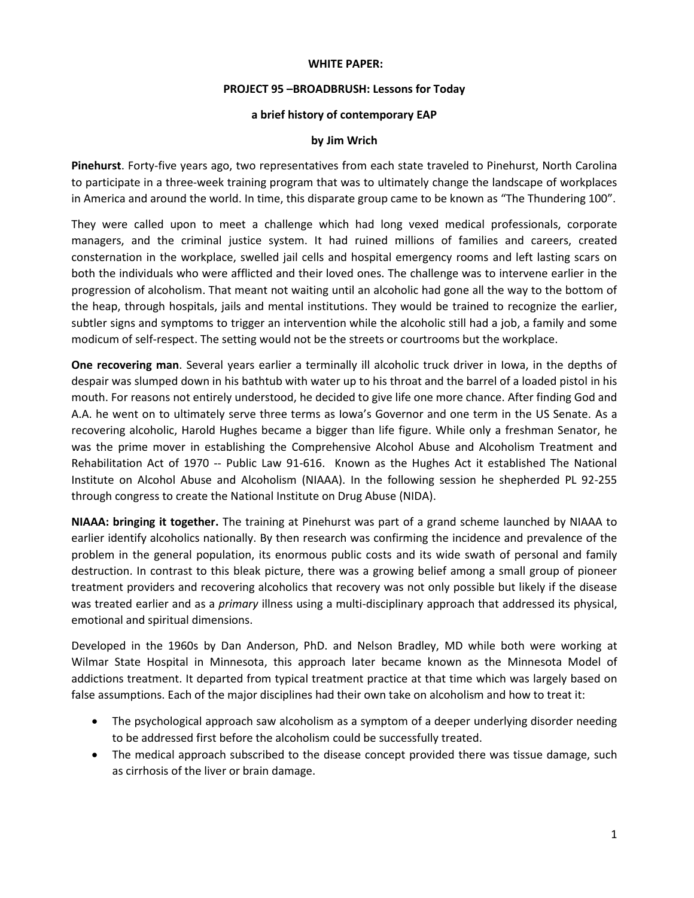## **WHITE PAPER:**

## **PROJECT 95 –BROADBRUSH: Lessons for Today**

## **a brief history of contemporary EAP**

## **by Jim Wrich**

**Pinehurst**. Forty-five years ago, two representatives from each state traveled to Pinehurst, North Carolina to participate in a three-week training program that was to ultimately change the landscape of workplaces in America and around the world. In time, this disparate group came to be known as "The Thundering 100".

They were called upon to meet a challenge which had long vexed medical professionals, corporate managers, and the criminal justice system. It had ruined millions of families and careers, created consternation in the workplace, swelled jail cells and hospital emergency rooms and left lasting scars on both the individuals who were afflicted and their loved ones. The challenge was to intervene earlier in the progression of alcoholism. That meant not waiting until an alcoholic had gone all the way to the bottom of the heap, through hospitals, jails and mental institutions. They would be trained to recognize the earlier, subtler signs and symptoms to trigger an intervention while the alcoholic still had a job, a family and some modicum of self-respect. The setting would not be the streets or courtrooms but the workplace.

**One recovering man**. Several years earlier a terminally ill alcoholic truck driver in Iowa, in the depths of despair was slumped down in his bathtub with water up to his throat and the barrel of a loaded pistol in his mouth. For reasons not entirely understood, he decided to give life one more chance. After finding God and A.A. he went on to ultimately serve three terms as Iowa's Governor and one term in the US Senate. As a recovering alcoholic, Harold Hughes became a bigger than life figure. While only a freshman Senator, he was the prime mover in establishing the Comprehensive Alcohol Abuse and Alcoholism Treatment and Rehabilitation Act of 1970 -- Public Law 91-616. Known as the Hughes Act it established The National Institute on Alcohol Abuse and Alcoholism (NIAAA). In the following session he shepherded PL 92-255 through congress to create the National Institute on Drug Abuse (NIDA).

**NIAAA: bringing it together.** The training at Pinehurst was part of a grand scheme launched by NIAAA to earlier identify alcoholics nationally. By then research was confirming the incidence and prevalence of the problem in the general population, its enormous public costs and its wide swath of personal and family destruction. In contrast to this bleak picture, there was a growing belief among a small group of pioneer treatment providers and recovering alcoholics that recovery was not only possible but likely if the disease was treated earlier and as a *primary* illness using a multi-disciplinary approach that addressed its physical, emotional and spiritual dimensions.

Developed in the 1960s by Dan Anderson, PhD. and Nelson Bradley, MD while both were working at Wilmar State Hospital in Minnesota, this approach later became known as the Minnesota Model of addictions treatment. It departed from typical treatment practice at that time which was largely based on false assumptions. Each of the major disciplines had their own take on alcoholism and how to treat it:

- The psychological approach saw alcoholism as a symptom of a deeper underlying disorder needing to be addressed first before the alcoholism could be successfully treated.
- The medical approach subscribed to the disease concept provided there was tissue damage, such as cirrhosis of the liver or brain damage.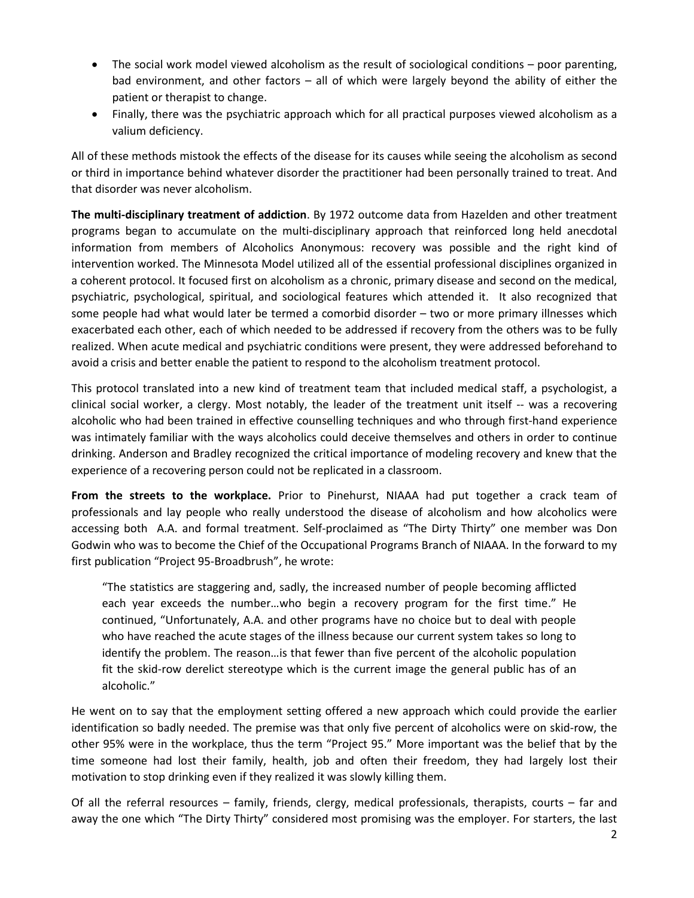- The social work model viewed alcoholism as the result of sociological conditions poor parenting, bad environment, and other factors – all of which were largely beyond the ability of either the patient or therapist to change.
- Finally, there was the psychiatric approach which for all practical purposes viewed alcoholism as a valium deficiency.

All of these methods mistook the effects of the disease for its causes while seeing the alcoholism as second or third in importance behind whatever disorder the practitioner had been personally trained to treat. And that disorder was never alcoholism.

**The multi-disciplinary treatment of addiction**. By 1972 outcome data from Hazelden and other treatment programs began to accumulate on the multi-disciplinary approach that reinforced long held anecdotal information from members of Alcoholics Anonymous: recovery was possible and the right kind of intervention worked. The Minnesota Model utilized all of the essential professional disciplines organized in a coherent protocol. It focused first on alcoholism as a chronic, primary disease and second on the medical, psychiatric, psychological, spiritual, and sociological features which attended it. It also recognized that some people had what would later be termed a comorbid disorder – two or more primary illnesses which exacerbated each other, each of which needed to be addressed if recovery from the others was to be fully realized. When acute medical and psychiatric conditions were present, they were addressed beforehand to avoid a crisis and better enable the patient to respond to the alcoholism treatment protocol.

This protocol translated into a new kind of treatment team that included medical staff, a psychologist, a clinical social worker, a clergy. Most notably, the leader of the treatment unit itself -- was a recovering alcoholic who had been trained in effective counselling techniques and who through first-hand experience was intimately familiar with the ways alcoholics could deceive themselves and others in order to continue drinking. Anderson and Bradley recognized the critical importance of modeling recovery and knew that the experience of a recovering person could not be replicated in a classroom.

**From the streets to the workplace.** Prior to Pinehurst, NIAAA had put together a crack team of professionals and lay people who really understood the disease of alcoholism and how alcoholics were accessing both A.A. and formal treatment. Self-proclaimed as "The Dirty Thirty" one member was Don Godwin who was to become the Chief of the Occupational Programs Branch of NIAAA. In the forward to my first publication "Project 95-Broadbrush", he wrote:

"The statistics are staggering and, sadly, the increased number of people becoming afflicted each year exceeds the number…who begin a recovery program for the first time." He continued, "Unfortunately, A.A. and other programs have no choice but to deal with people who have reached the acute stages of the illness because our current system takes so long to identify the problem. The reason…is that fewer than five percent of the alcoholic population fit the skid-row derelict stereotype which is the current image the general public has of an alcoholic."

He went on to say that the employment setting offered a new approach which could provide the earlier identification so badly needed. The premise was that only five percent of alcoholics were on skid-row, the other 95% were in the workplace, thus the term "Project 95." More important was the belief that by the time someone had lost their family, health, job and often their freedom, they had largely lost their motivation to stop drinking even if they realized it was slowly killing them.

Of all the referral resources – family, friends, clergy, medical professionals, therapists, courts – far and away the one which "The Dirty Thirty" considered most promising was the employer. For starters, the last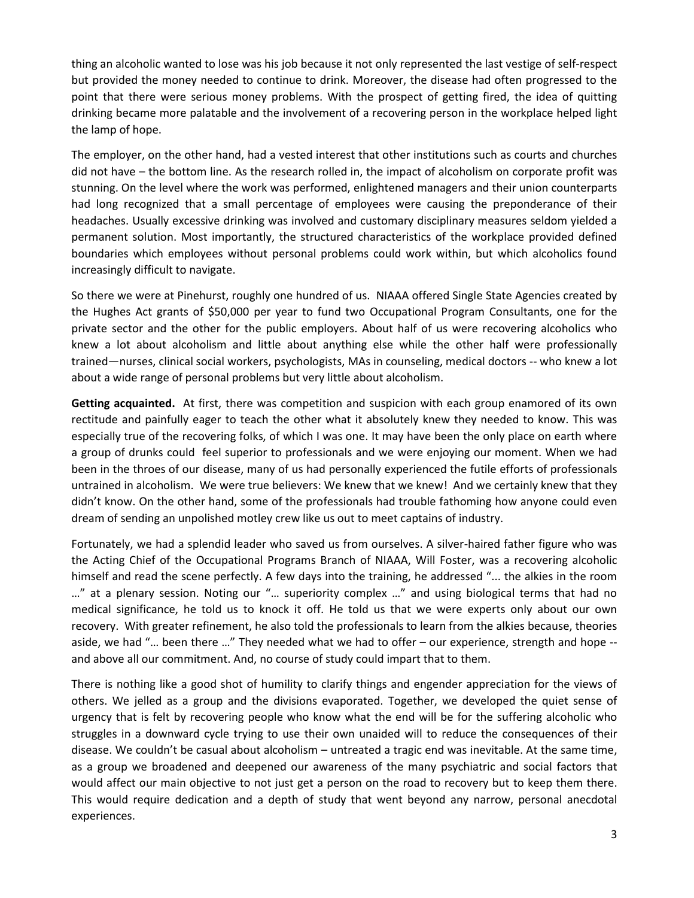thing an alcoholic wanted to lose was his job because it not only represented the last vestige of self-respect but provided the money needed to continue to drink. Moreover, the disease had often progressed to the point that there were serious money problems. With the prospect of getting fired, the idea of quitting drinking became more palatable and the involvement of a recovering person in the workplace helped light the lamp of hope.

The employer, on the other hand, had a vested interest that other institutions such as courts and churches did not have – the bottom line. As the research rolled in, the impact of alcoholism on corporate profit was stunning. On the level where the work was performed, enlightened managers and their union counterparts had long recognized that a small percentage of employees were causing the preponderance of their headaches. Usually excessive drinking was involved and customary disciplinary measures seldom yielded a permanent solution. Most importantly, the structured characteristics of the workplace provided defined boundaries which employees without personal problems could work within, but which alcoholics found increasingly difficult to navigate.

So there we were at Pinehurst, roughly one hundred of us. NIAAA offered Single State Agencies created by the Hughes Act grants of \$50,000 per year to fund two Occupational Program Consultants, one for the private sector and the other for the public employers. About half of us were recovering alcoholics who knew a lot about alcoholism and little about anything else while the other half were professionally trained—nurses, clinical social workers, psychologists, MAs in counseling, medical doctors -- who knew a lot about a wide range of personal problems but very little about alcoholism.

**Getting acquainted.** At first, there was competition and suspicion with each group enamored of its own rectitude and painfully eager to teach the other what it absolutely knew they needed to know. This was especially true of the recovering folks, of which I was one. It may have been the only place on earth where a group of drunks could feel superior to professionals and we were enjoying our moment. When we had been in the throes of our disease, many of us had personally experienced the futile efforts of professionals untrained in alcoholism. We were true believers: We knew that we knew! And we certainly knew that they didn't know. On the other hand, some of the professionals had trouble fathoming how anyone could even dream of sending an unpolished motley crew like us out to meet captains of industry.

Fortunately, we had a splendid leader who saved us from ourselves. A silver-haired father figure who was the Acting Chief of the Occupational Programs Branch of NIAAA, Will Foster, was a recovering alcoholic himself and read the scene perfectly. A few days into the training, he addressed "... the alkies in the room …" at a plenary session. Noting our "… superiority complex …" and using biological terms that had no medical significance, he told us to knock it off. He told us that we were experts only about our own recovery. With greater refinement, he also told the professionals to learn from the alkies because, theories aside, we had "… been there …" They needed what we had to offer – our experience, strength and hope - and above all our commitment. And, no course of study could impart that to them.

There is nothing like a good shot of humility to clarify things and engender appreciation for the views of others. We jelled as a group and the divisions evaporated. Together, we developed the quiet sense of urgency that is felt by recovering people who know what the end will be for the suffering alcoholic who struggles in a downward cycle trying to use their own unaided will to reduce the consequences of their disease. We couldn't be casual about alcoholism – untreated a tragic end was inevitable. At the same time, as a group we broadened and deepened our awareness of the many psychiatric and social factors that would affect our main objective to not just get a person on the road to recovery but to keep them there. This would require dedication and a depth of study that went beyond any narrow, personal anecdotal experiences.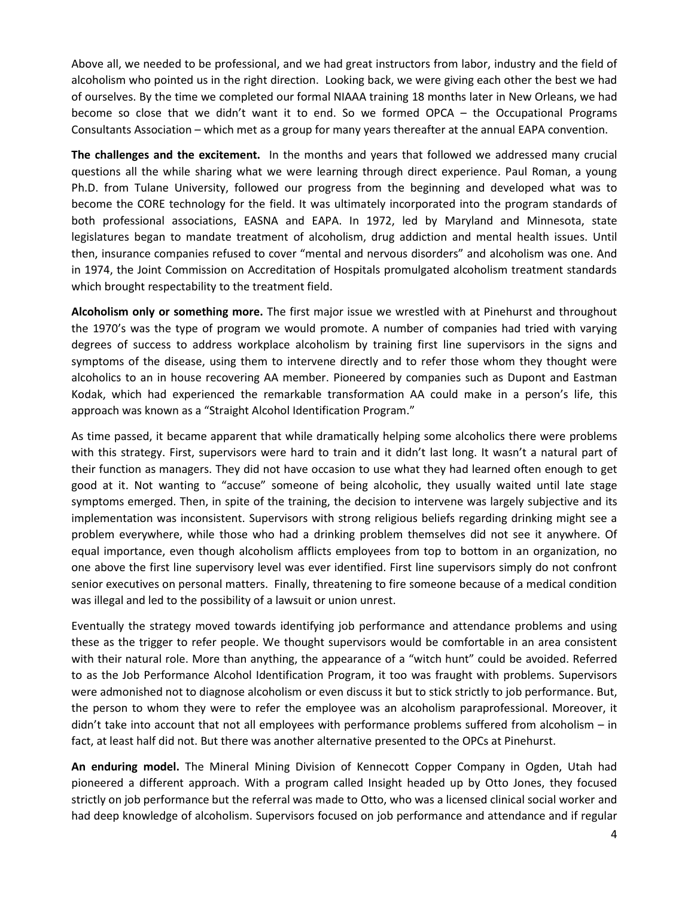Above all, we needed to be professional, and we had great instructors from labor, industry and the field of alcoholism who pointed us in the right direction. Looking back, we were giving each other the best we had of ourselves. By the time we completed our formal NIAAA training 18 months later in New Orleans, we had become so close that we didn't want it to end. So we formed OPCA – the Occupational Programs Consultants Association – which met as a group for many years thereafter at the annual EAPA convention.

**The challenges and the excitement.** In the months and years that followed we addressed many crucial questions all the while sharing what we were learning through direct experience. Paul Roman, a young Ph.D. from Tulane University, followed our progress from the beginning and developed what was to become the CORE technology for the field. It was ultimately incorporated into the program standards of both professional associations, EASNA and EAPA. In 1972, led by Maryland and Minnesota, state legislatures began to mandate treatment of alcoholism, drug addiction and mental health issues. Until then, insurance companies refused to cover "mental and nervous disorders" and alcoholism was one. And in 1974, the Joint Commission on Accreditation of Hospitals promulgated alcoholism treatment standards which brought respectability to the treatment field.

**Alcoholism only or something more.** The first major issue we wrestled with at Pinehurst and throughout the 1970's was the type of program we would promote. A number of companies had tried with varying degrees of success to address workplace alcoholism by training first line supervisors in the signs and symptoms of the disease, using them to intervene directly and to refer those whom they thought were alcoholics to an in house recovering AA member. Pioneered by companies such as Dupont and Eastman Kodak, which had experienced the remarkable transformation AA could make in a person's life, this approach was known as a "Straight Alcohol Identification Program."

As time passed, it became apparent that while dramatically helping some alcoholics there were problems with this strategy. First, supervisors were hard to train and it didn't last long. It wasn't a natural part of their function as managers. They did not have occasion to use what they had learned often enough to get good at it. Not wanting to "accuse" someone of being alcoholic, they usually waited until late stage symptoms emerged. Then, in spite of the training, the decision to intervene was largely subjective and its implementation was inconsistent. Supervisors with strong religious beliefs regarding drinking might see a problem everywhere, while those who had a drinking problem themselves did not see it anywhere. Of equal importance, even though alcoholism afflicts employees from top to bottom in an organization, no one above the first line supervisory level was ever identified. First line supervisors simply do not confront senior executives on personal matters. Finally, threatening to fire someone because of a medical condition was illegal and led to the possibility of a lawsuit or union unrest.

Eventually the strategy moved towards identifying job performance and attendance problems and using these as the trigger to refer people. We thought supervisors would be comfortable in an area consistent with their natural role. More than anything, the appearance of a "witch hunt" could be avoided. Referred to as the Job Performance Alcohol Identification Program, it too was fraught with problems. Supervisors were admonished not to diagnose alcoholism or even discuss it but to stick strictly to job performance. But, the person to whom they were to refer the employee was an alcoholism paraprofessional. Moreover, it didn't take into account that not all employees with performance problems suffered from alcoholism – in fact, at least half did not. But there was another alternative presented to the OPCs at Pinehurst.

**An enduring model.** The Mineral Mining Division of Kennecott Copper Company in Ogden, Utah had pioneered a different approach. With a program called Insight headed up by Otto Jones, they focused strictly on job performance but the referral was made to Otto, who was a licensed clinical social worker and had deep knowledge of alcoholism. Supervisors focused on job performance and attendance and if regular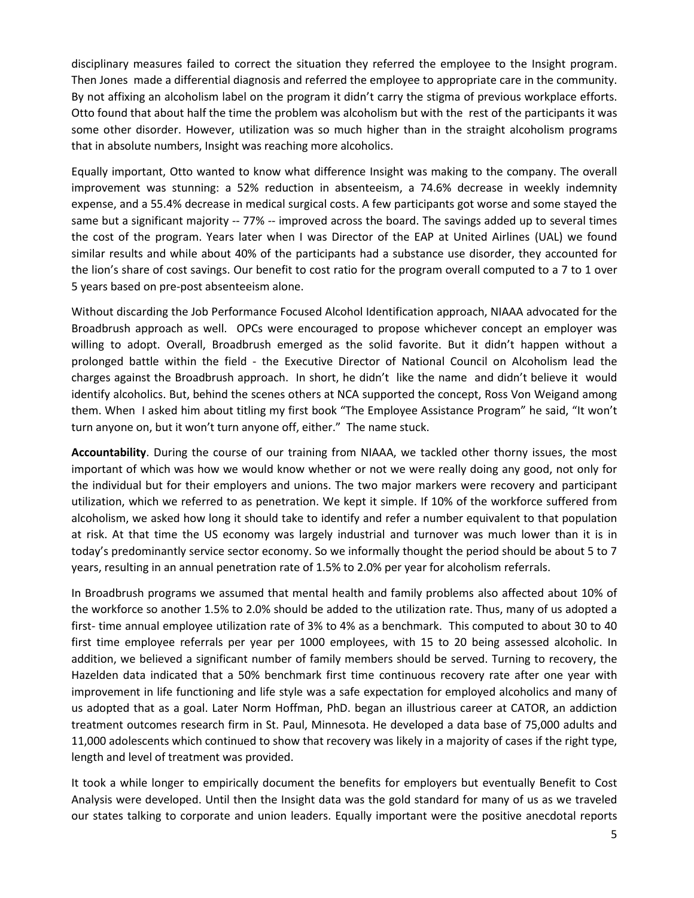disciplinary measures failed to correct the situation they referred the employee to the Insight program. Then Jones made a differential diagnosis and referred the employee to appropriate care in the community. By not affixing an alcoholism label on the program it didn't carry the stigma of previous workplace efforts. Otto found that about half the time the problem was alcoholism but with the rest of the participants it was some other disorder. However, utilization was so much higher than in the straight alcoholism programs that in absolute numbers, Insight was reaching more alcoholics.

Equally important, Otto wanted to know what difference Insight was making to the company. The overall improvement was stunning: a 52% reduction in absenteeism, a 74.6% decrease in weekly indemnity expense, and a 55.4% decrease in medical surgical costs. A few participants got worse and some stayed the same but a significant majority -- 77% -- improved across the board. The savings added up to several times the cost of the program. Years later when I was Director of the EAP at United Airlines (UAL) we found similar results and while about 40% of the participants had a substance use disorder, they accounted for the lion's share of cost savings. Our benefit to cost ratio for the program overall computed to a 7 to 1 over 5 years based on pre-post absenteeism alone.

Without discarding the Job Performance Focused Alcohol Identification approach, NIAAA advocated for the Broadbrush approach as well. OPCs were encouraged to propose whichever concept an employer was willing to adopt. Overall, Broadbrush emerged as the solid favorite. But it didn't happen without a prolonged battle within the field - the Executive Director of National Council on Alcoholism lead the charges against the Broadbrush approach. In short, he didn't like the name and didn't believe it would identify alcoholics. But, behind the scenes others at NCA supported the concept, Ross Von Weigand among them. When I asked him about titling my first book "The Employee Assistance Program" he said, "It won't turn anyone on, but it won't turn anyone off, either." The name stuck.

**Accountability**. During the course of our training from NIAAA, we tackled other thorny issues, the most important of which was how we would know whether or not we were really doing any good, not only for the individual but for their employers and unions. The two major markers were recovery and participant utilization, which we referred to as penetration. We kept it simple. If 10% of the workforce suffered from alcoholism, we asked how long it should take to identify and refer a number equivalent to that population at risk. At that time the US economy was largely industrial and turnover was much lower than it is in today's predominantly service sector economy. So we informally thought the period should be about 5 to 7 years, resulting in an annual penetration rate of 1.5% to 2.0% per year for alcoholism referrals.

In Broadbrush programs we assumed that mental health and family problems also affected about 10% of the workforce so another 1.5% to 2.0% should be added to the utilization rate. Thus, many of us adopted a first- time annual employee utilization rate of 3% to 4% as a benchmark. This computed to about 30 to 40 first time employee referrals per year per 1000 employees, with 15 to 20 being assessed alcoholic. In addition, we believed a significant number of family members should be served. Turning to recovery, the Hazelden data indicated that a 50% benchmark first time continuous recovery rate after one year with improvement in life functioning and life style was a safe expectation for employed alcoholics and many of us adopted that as a goal. Later Norm Hoffman, PhD. began an illustrious career at CATOR, an addiction treatment outcomes research firm in St. Paul, Minnesota. He developed a data base of 75,000 adults and 11,000 adolescents which continued to show that recovery was likely in a majority of cases if the right type, length and level of treatment was provided.

It took a while longer to empirically document the benefits for employers but eventually Benefit to Cost Analysis were developed. Until then the Insight data was the gold standard for many of us as we traveled our states talking to corporate and union leaders. Equally important were the positive anecdotal reports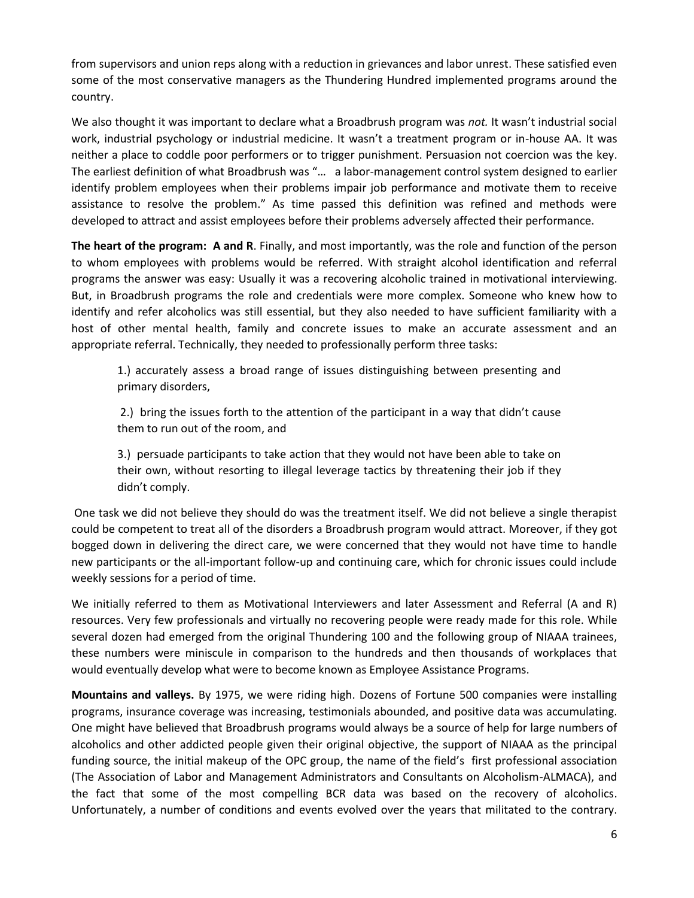from supervisors and union reps along with a reduction in grievances and labor unrest. These satisfied even some of the most conservative managers as the Thundering Hundred implemented programs around the country.

We also thought it was important to declare what a Broadbrush program was *not.* It wasn't industrial social work, industrial psychology or industrial medicine. It wasn't a treatment program or in-house AA. It was neither a place to coddle poor performers or to trigger punishment. Persuasion not coercion was the key. The earliest definition of what Broadbrush was "… a labor-management control system designed to earlier identify problem employees when their problems impair job performance and motivate them to receive assistance to resolve the problem." As time passed this definition was refined and methods were developed to attract and assist employees before their problems adversely affected their performance.

**The heart of the program: A and R**. Finally, and most importantly, was the role and function of the person to whom employees with problems would be referred. With straight alcohol identification and referral programs the answer was easy: Usually it was a recovering alcoholic trained in motivational interviewing. But, in Broadbrush programs the role and credentials were more complex. Someone who knew how to identify and refer alcoholics was still essential, but they also needed to have sufficient familiarity with a host of other mental health, family and concrete issues to make an accurate assessment and an appropriate referral. Technically, they needed to professionally perform three tasks:

1.) accurately assess a broad range of issues distinguishing between presenting and primary disorders,

2.) bring the issues forth to the attention of the participant in a way that didn't cause them to run out of the room, and

3.) persuade participants to take action that they would not have been able to take on their own, without resorting to illegal leverage tactics by threatening their job if they didn't comply.

One task we did not believe they should do was the treatment itself. We did not believe a single therapist could be competent to treat all of the disorders a Broadbrush program would attract. Moreover, if they got bogged down in delivering the direct care, we were concerned that they would not have time to handle new participants or the all-important follow-up and continuing care, which for chronic issues could include weekly sessions for a period of time.

We initially referred to them as Motivational Interviewers and later Assessment and Referral (A and R) resources. Very few professionals and virtually no recovering people were ready made for this role. While several dozen had emerged from the original Thundering 100 and the following group of NIAAA trainees, these numbers were miniscule in comparison to the hundreds and then thousands of workplaces that would eventually develop what were to become known as Employee Assistance Programs.

**Mountains and valleys.** By 1975, we were riding high. Dozens of Fortune 500 companies were installing programs, insurance coverage was increasing, testimonials abounded, and positive data was accumulating. One might have believed that Broadbrush programs would always be a source of help for large numbers of alcoholics and other addicted people given their original objective, the support of NIAAA as the principal funding source, the initial makeup of the OPC group, the name of the field's first professional association (The Association of Labor and Management Administrators and Consultants on Alcoholism-ALMACA), and the fact that some of the most compelling BCR data was based on the recovery of alcoholics. Unfortunately, a number of conditions and events evolved over the years that militated to the contrary.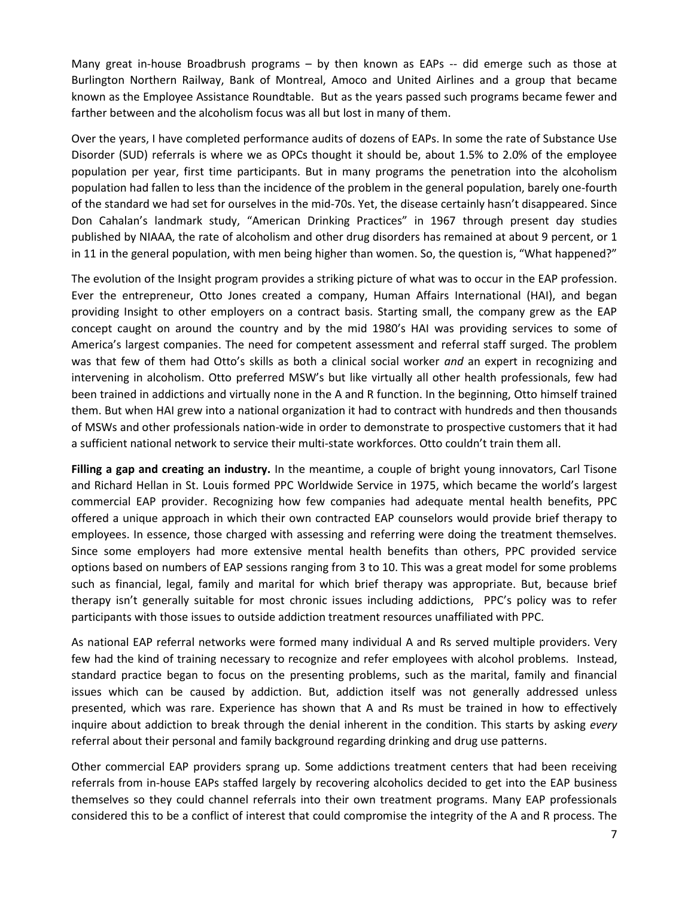Many great in-house Broadbrush programs – by then known as EAPs -- did emerge such as those at Burlington Northern Railway, Bank of Montreal, Amoco and United Airlines and a group that became known as the Employee Assistance Roundtable. But as the years passed such programs became fewer and farther between and the alcoholism focus was all but lost in many of them.

Over the years, I have completed performance audits of dozens of EAPs. In some the rate of Substance Use Disorder (SUD) referrals is where we as OPCs thought it should be, about 1.5% to 2.0% of the employee population per year, first time participants. But in many programs the penetration into the alcoholism population had fallen to less than the incidence of the problem in the general population, barely one-fourth of the standard we had set for ourselves in the mid-70s. Yet, the disease certainly hasn't disappeared. Since Don Cahalan's landmark study, "American Drinking Practices" in 1967 through present day studies published by NIAAA, the rate of alcoholism and other drug disorders has remained at about 9 percent, or 1 in 11 in the general population, with men being higher than women. So, the question is, "What happened?"

The evolution of the Insight program provides a striking picture of what was to occur in the EAP profession. Ever the entrepreneur, Otto Jones created a company, Human Affairs International (HAI), and began providing Insight to other employers on a contract basis. Starting small, the company grew as the EAP concept caught on around the country and by the mid 1980's HAI was providing services to some of America's largest companies. The need for competent assessment and referral staff surged. The problem was that few of them had Otto's skills as both a clinical social worker *and* an expert in recognizing and intervening in alcoholism. Otto preferred MSW's but like virtually all other health professionals, few had been trained in addictions and virtually none in the A and R function. In the beginning, Otto himself trained them. But when HAI grew into a national organization it had to contract with hundreds and then thousands of MSWs and other professionals nation-wide in order to demonstrate to prospective customers that it had a sufficient national network to service their multi-state workforces. Otto couldn't train them all.

**Filling a gap and creating an industry.** In the meantime, a couple of bright young innovators, Carl Tisone and Richard Hellan in St. Louis formed PPC Worldwide Service in 1975, which became the world's largest commercial EAP provider. Recognizing how few companies had adequate mental health benefits, PPC offered a unique approach in which their own contracted EAP counselors would provide brief therapy to employees. In essence, those charged with assessing and referring were doing the treatment themselves. Since some employers had more extensive mental health benefits than others, PPC provided service options based on numbers of EAP sessions ranging from 3 to 10. This was a great model for some problems such as financial, legal, family and marital for which brief therapy was appropriate. But, because brief therapy isn't generally suitable for most chronic issues including addictions, PPC's policy was to refer participants with those issues to outside addiction treatment resources unaffiliated with PPC.

As national EAP referral networks were formed many individual A and Rs served multiple providers. Very few had the kind of training necessary to recognize and refer employees with alcohol problems. Instead, standard practice began to focus on the presenting problems, such as the marital, family and financial issues which can be caused by addiction. But, addiction itself was not generally addressed unless presented, which was rare. Experience has shown that A and Rs must be trained in how to effectively inquire about addiction to break through the denial inherent in the condition. This starts by asking *every* referral about their personal and family background regarding drinking and drug use patterns.

Other commercial EAP providers sprang up. Some addictions treatment centers that had been receiving referrals from in-house EAPs staffed largely by recovering alcoholics decided to get into the EAP business themselves so they could channel referrals into their own treatment programs. Many EAP professionals considered this to be a conflict of interest that could compromise the integrity of the A and R process. The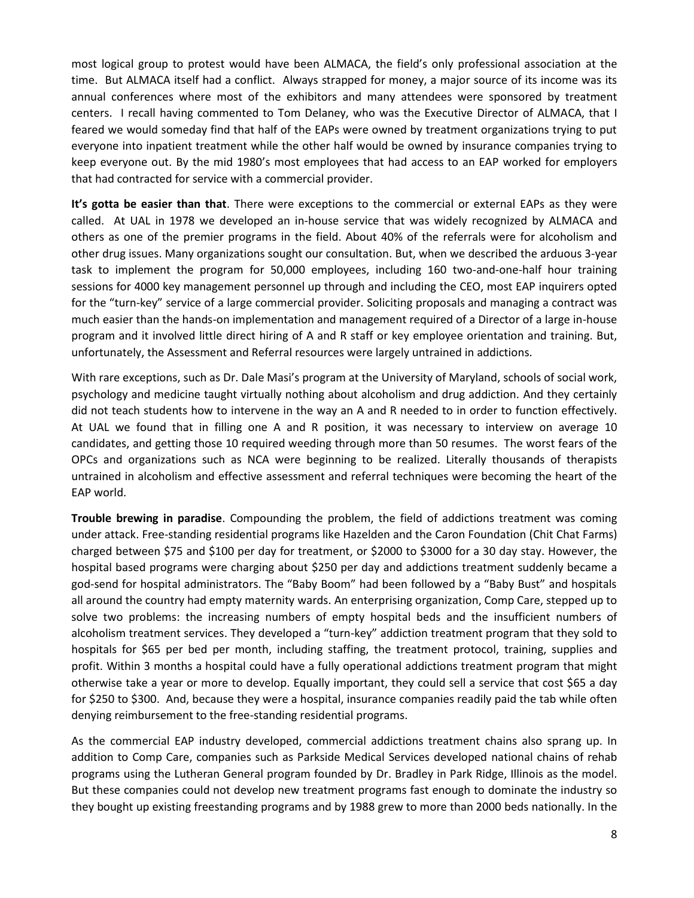most logical group to protest would have been ALMACA, the field's only professional association at the time. But ALMACA itself had a conflict. Always strapped for money, a major source of its income was its annual conferences where most of the exhibitors and many attendees were sponsored by treatment centers. I recall having commented to Tom Delaney, who was the Executive Director of ALMACA, that I feared we would someday find that half of the EAPs were owned by treatment organizations trying to put everyone into inpatient treatment while the other half would be owned by insurance companies trying to keep everyone out. By the mid 1980's most employees that had access to an EAP worked for employers that had contracted for service with a commercial provider.

**It's gotta be easier than that**. There were exceptions to the commercial or external EAPs as they were called. At UAL in 1978 we developed an in-house service that was widely recognized by ALMACA and others as one of the premier programs in the field. About 40% of the referrals were for alcoholism and other drug issues. Many organizations sought our consultation. But, when we described the arduous 3-year task to implement the program for 50,000 employees, including 160 two-and-one-half hour training sessions for 4000 key management personnel up through and including the CEO, most EAP inquirers opted for the "turn-key" service of a large commercial provider. Soliciting proposals and managing a contract was much easier than the hands-on implementation and management required of a Director of a large in-house program and it involved little direct hiring of A and R staff or key employee orientation and training. But, unfortunately, the Assessment and Referral resources were largely untrained in addictions.

With rare exceptions, such as Dr. Dale Masi's program at the University of Maryland, schools of social work, psychology and medicine taught virtually nothing about alcoholism and drug addiction. And they certainly did not teach students how to intervene in the way an A and R needed to in order to function effectively. At UAL we found that in filling one A and R position, it was necessary to interview on average 10 candidates, and getting those 10 required weeding through more than 50 resumes. The worst fears of the OPCs and organizations such as NCA were beginning to be realized. Literally thousands of therapists untrained in alcoholism and effective assessment and referral techniques were becoming the heart of the EAP world.

**Trouble brewing in paradise**. Compounding the problem, the field of addictions treatment was coming under attack. Free-standing residential programs like Hazelden and the Caron Foundation (Chit Chat Farms) charged between \$75 and \$100 per day for treatment, or \$2000 to \$3000 for a 30 day stay. However, the hospital based programs were charging about \$250 per day and addictions treatment suddenly became a god-send for hospital administrators. The "Baby Boom" had been followed by a "Baby Bust" and hospitals all around the country had empty maternity wards. An enterprising organization, Comp Care, stepped up to solve two problems: the increasing numbers of empty hospital beds and the insufficient numbers of alcoholism treatment services. They developed a "turn-key" addiction treatment program that they sold to hospitals for \$65 per bed per month, including staffing, the treatment protocol, training, supplies and profit. Within 3 months a hospital could have a fully operational addictions treatment program that might otherwise take a year or more to develop. Equally important, they could sell a service that cost \$65 a day for \$250 to \$300. And, because they were a hospital, insurance companies readily paid the tab while often denying reimbursement to the free-standing residential programs.

As the commercial EAP industry developed, commercial addictions treatment chains also sprang up. In addition to Comp Care, companies such as Parkside Medical Services developed national chains of rehab programs using the Lutheran General program founded by Dr. Bradley in Park Ridge, Illinois as the model. But these companies could not develop new treatment programs fast enough to dominate the industry so they bought up existing freestanding programs and by 1988 grew to more than 2000 beds nationally. In the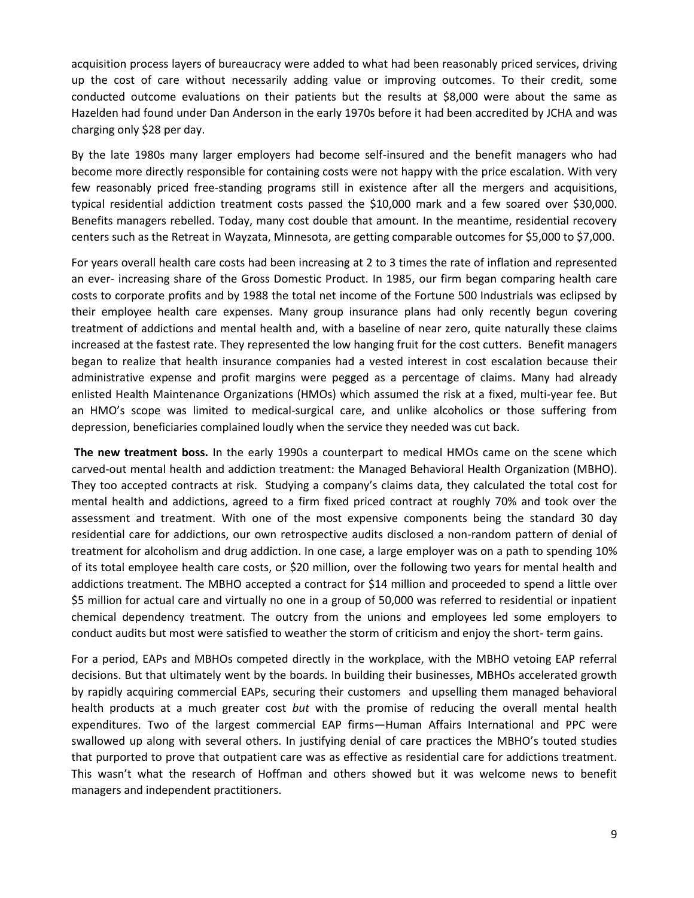acquisition process layers of bureaucracy were added to what had been reasonably priced services, driving up the cost of care without necessarily adding value or improving outcomes. To their credit, some conducted outcome evaluations on their patients but the results at \$8,000 were about the same as Hazelden had found under Dan Anderson in the early 1970s before it had been accredited by JCHA and was charging only \$28 per day.

By the late 1980s many larger employers had become self-insured and the benefit managers who had become more directly responsible for containing costs were not happy with the price escalation. With very few reasonably priced free-standing programs still in existence after all the mergers and acquisitions, typical residential addiction treatment costs passed the \$10,000 mark and a few soared over \$30,000. Benefits managers rebelled. Today, many cost double that amount. In the meantime, residential recovery centers such as the Retreat in Wayzata, Minnesota, are getting comparable outcomes for \$5,000 to \$7,000.

For years overall health care costs had been increasing at 2 to 3 times the rate of inflation and represented an ever- increasing share of the Gross Domestic Product. In 1985, our firm began comparing health care costs to corporate profits and by 1988 the total net income of the Fortune 500 Industrials was eclipsed by their employee health care expenses. Many group insurance plans had only recently begun covering treatment of addictions and mental health and, with a baseline of near zero, quite naturally these claims increased at the fastest rate. They represented the low hanging fruit for the cost cutters. Benefit managers began to realize that health insurance companies had a vested interest in cost escalation because their administrative expense and profit margins were pegged as a percentage of claims. Many had already enlisted Health Maintenance Organizations (HMOs) which assumed the risk at a fixed, multi-year fee. But an HMO's scope was limited to medical-surgical care, and unlike alcoholics or those suffering from depression, beneficiaries complained loudly when the service they needed was cut back.

**The new treatment boss.** In the early 1990s a counterpart to medical HMOs came on the scene which carved-out mental health and addiction treatment: the Managed Behavioral Health Organization (MBHO). They too accepted contracts at risk. Studying a company's claims data, they calculated the total cost for mental health and addictions, agreed to a firm fixed priced contract at roughly 70% and took over the assessment and treatment. With one of the most expensive components being the standard 30 day residential care for addictions, our own retrospective audits disclosed a non-random pattern of denial of treatment for alcoholism and drug addiction. In one case, a large employer was on a path to spending 10% of its total employee health care costs, or \$20 million, over the following two years for mental health and addictions treatment. The MBHO accepted a contract for \$14 million and proceeded to spend a little over \$5 million for actual care and virtually no one in a group of 50,000 was referred to residential or inpatient chemical dependency treatment. The outcry from the unions and employees led some employers to conduct audits but most were satisfied to weather the storm of criticism and enjoy the short- term gains.

For a period, EAPs and MBHOs competed directly in the workplace, with the MBHO vetoing EAP referral decisions. But that ultimately went by the boards. In building their businesses, MBHOs accelerated growth by rapidly acquiring commercial EAPs, securing their customers and upselling them managed behavioral health products at a much greater cost *but* with the promise of reducing the overall mental health expenditures. Two of the largest commercial EAP firms—Human Affairs International and PPC were swallowed up along with several others. In justifying denial of care practices the MBHO's touted studies that purported to prove that outpatient care was as effective as residential care for addictions treatment. This wasn't what the research of Hoffman and others showed but it was welcome news to benefit managers and independent practitioners.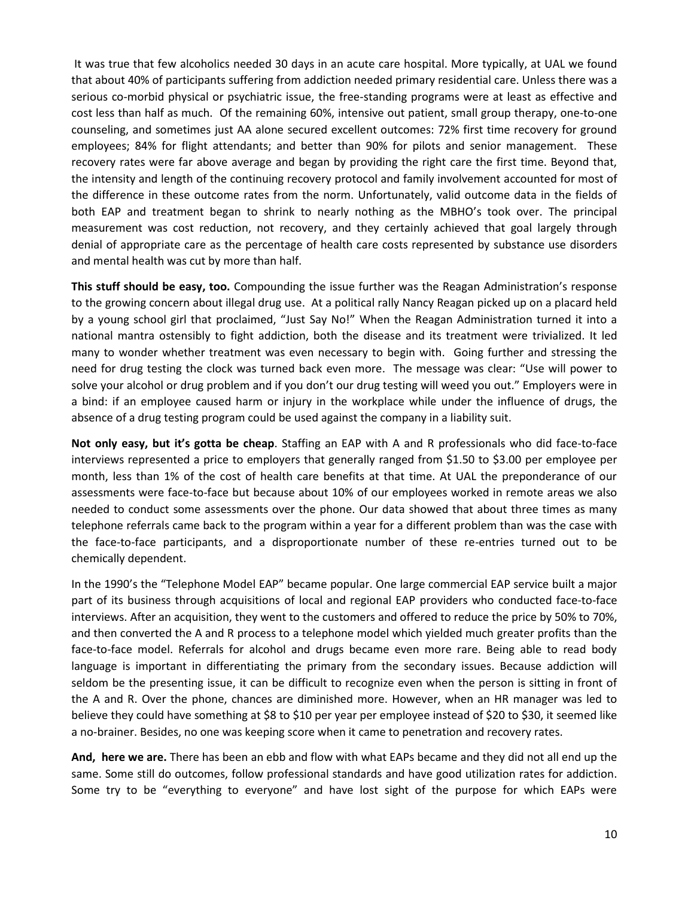It was true that few alcoholics needed 30 days in an acute care hospital. More typically, at UAL we found that about 40% of participants suffering from addiction needed primary residential care. Unless there was a serious co-morbid physical or psychiatric issue, the free-standing programs were at least as effective and cost less than half as much. Of the remaining 60%, intensive out patient, small group therapy, one-to-one counseling, and sometimes just AA alone secured excellent outcomes: 72% first time recovery for ground employees; 84% for flight attendants; and better than 90% for pilots and senior management. These recovery rates were far above average and began by providing the right care the first time. Beyond that, the intensity and length of the continuing recovery protocol and family involvement accounted for most of the difference in these outcome rates from the norm. Unfortunately, valid outcome data in the fields of both EAP and treatment began to shrink to nearly nothing as the MBHO's took over. The principal measurement was cost reduction, not recovery, and they certainly achieved that goal largely through denial of appropriate care as the percentage of health care costs represented by substance use disorders and mental health was cut by more than half.

**This stuff should be easy, too.** Compounding the issue further was the Reagan Administration's response to the growing concern about illegal drug use. At a political rally Nancy Reagan picked up on a placard held by a young school girl that proclaimed, "Just Say No!" When the Reagan Administration turned it into a national mantra ostensibly to fight addiction, both the disease and its treatment were trivialized. It led many to wonder whether treatment was even necessary to begin with. Going further and stressing the need for drug testing the clock was turned back even more. The message was clear: "Use will power to solve your alcohol or drug problem and if you don't our drug testing will weed you out." Employers were in a bind: if an employee caused harm or injury in the workplace while under the influence of drugs, the absence of a drug testing program could be used against the company in a liability suit.

**Not only easy, but it's gotta be cheap**. Staffing an EAP with A and R professionals who did face-to-face interviews represented a price to employers that generally ranged from \$1.50 to \$3.00 per employee per month, less than 1% of the cost of health care benefits at that time. At UAL the preponderance of our assessments were face-to-face but because about 10% of our employees worked in remote areas we also needed to conduct some assessments over the phone. Our data showed that about three times as many telephone referrals came back to the program within a year for a different problem than was the case with the face-to-face participants, and a disproportionate number of these re-entries turned out to be chemically dependent.

In the 1990's the "Telephone Model EAP" became popular. One large commercial EAP service built a major part of its business through acquisitions of local and regional EAP providers who conducted face-to-face interviews. After an acquisition, they went to the customers and offered to reduce the price by 50% to 70%, and then converted the A and R process to a telephone model which yielded much greater profits than the face-to-face model. Referrals for alcohol and drugs became even more rare. Being able to read body language is important in differentiating the primary from the secondary issues. Because addiction will seldom be the presenting issue, it can be difficult to recognize even when the person is sitting in front of the A and R. Over the phone, chances are diminished more. However, when an HR manager was led to believe they could have something at \$8 to \$10 per year per employee instead of \$20 to \$30, it seemed like a no-brainer. Besides, no one was keeping score when it came to penetration and recovery rates.

**And, here we are.** There has been an ebb and flow with what EAPs became and they did not all end up the same. Some still do outcomes, follow professional standards and have good utilization rates for addiction. Some try to be "everything to everyone" and have lost sight of the purpose for which EAPs were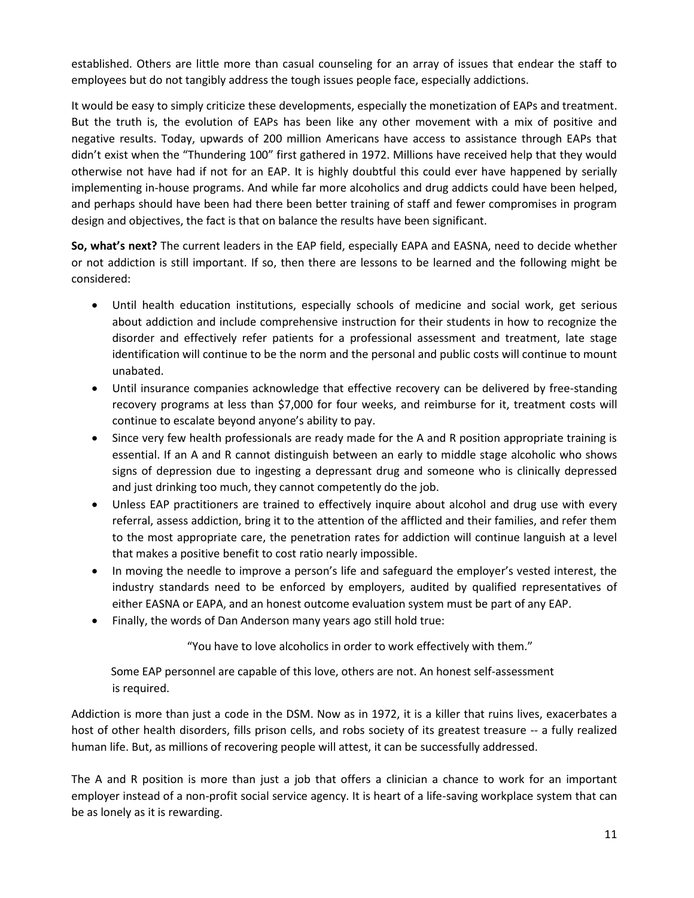established. Others are little more than casual counseling for an array of issues that endear the staff to employees but do not tangibly address the tough issues people face, especially addictions.

It would be easy to simply criticize these developments, especially the monetization of EAPs and treatment. But the truth is, the evolution of EAPs has been like any other movement with a mix of positive and negative results. Today, upwards of 200 million Americans have access to assistance through EAPs that didn't exist when the "Thundering 100" first gathered in 1972. Millions have received help that they would otherwise not have had if not for an EAP. It is highly doubtful this could ever have happened by serially implementing in-house programs. And while far more alcoholics and drug addicts could have been helped, and perhaps should have been had there been better training of staff and fewer compromises in program design and objectives, the fact is that on balance the results have been significant.

**So, what's next?** The current leaders in the EAP field, especially EAPA and EASNA, need to decide whether or not addiction is still important. If so, then there are lessons to be learned and the following might be considered:

- Until health education institutions, especially schools of medicine and social work, get serious about addiction and include comprehensive instruction for their students in how to recognize the disorder and effectively refer patients for a professional assessment and treatment, late stage identification will continue to be the norm and the personal and public costs will continue to mount unabated.
- Until insurance companies acknowledge that effective recovery can be delivered by free-standing recovery programs at less than \$7,000 for four weeks, and reimburse for it, treatment costs will continue to escalate beyond anyone's ability to pay.
- Since very few health professionals are ready made for the A and R position appropriate training is essential. If an A and R cannot distinguish between an early to middle stage alcoholic who shows signs of depression due to ingesting a depressant drug and someone who is clinically depressed and just drinking too much, they cannot competently do the job.
- Unless EAP practitioners are trained to effectively inquire about alcohol and drug use with every referral, assess addiction, bring it to the attention of the afflicted and their families, and refer them to the most appropriate care, the penetration rates for addiction will continue languish at a level that makes a positive benefit to cost ratio nearly impossible.
- In moving the needle to improve a person's life and safeguard the employer's vested interest, the industry standards need to be enforced by employers, audited by qualified representatives of either EASNA or EAPA, and an honest outcome evaluation system must be part of any EAP.
- Finally, the words of Dan Anderson many years ago still hold true:

"You have to love alcoholics in order to work effectively with them."

 Some EAP personnel are capable of this love, others are not. An honest self-assessment is required.

Addiction is more than just a code in the DSM. Now as in 1972, it is a killer that ruins lives, exacerbates a host of other health disorders, fills prison cells, and robs society of its greatest treasure -- a fully realized human life. But, as millions of recovering people will attest, it can be successfully addressed.

The A and R position is more than just a job that offers a clinician a chance to work for an important employer instead of a non-profit social service agency. It is heart of a life-saving workplace system that can be as lonely as it is rewarding.